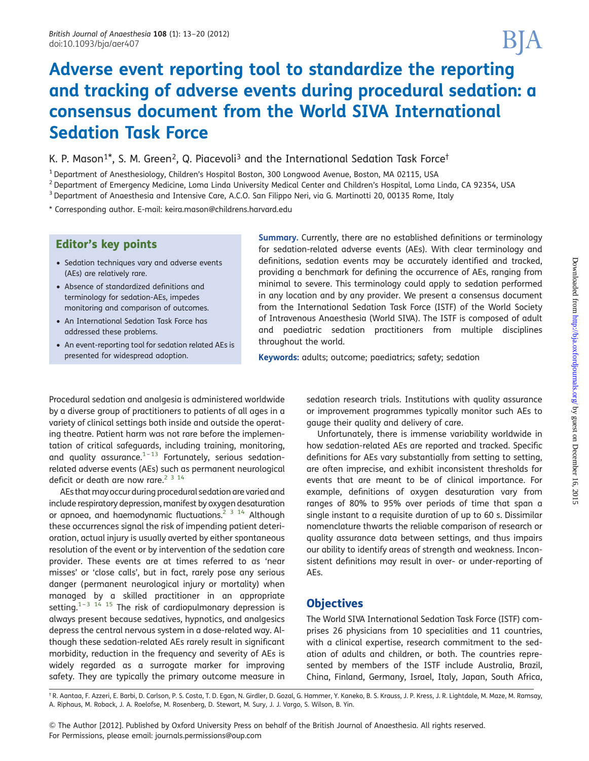# Adverse event reporting tool to standardize the reporting and tracking of adverse events during procedural sedation: a consensus document from the World SIVA International Sedation Task Force

K. P. Mason<sup>1\*</sup>, S. M. Green<sup>2</sup>, Q. Piacevoli<sup>3</sup> and the International Sedation Task Force<sup>†</sup>

<sup>1</sup> Department of Anesthesiology, Children's Hospital Boston, 300 Longwood Avenue, Boston, MA 02115, USA

<sup>2</sup> Department of Emergency Medicine, Loma Linda University Medical Center and Children's Hospital, Loma Linda, CA 92354, USA

<sup>3</sup> Department of Anaesthesia and Intensive Care, A.C.O. San Filippo Neri, via G. Martinotti 20, 00135 Rome, Italy

\* Corresponding author. E-mail: [keira.mason@childrens.harvard.edu](mailto:keira.mason@childrens.harvard.edu)

# Editor's key points

- † Sedation techniques vary and adverse events (AEs) are relatively rare.
- † Absence of standardized definitions and terminology for sedation-AEs, impedes monitoring and comparison of outcomes.
- An International Sedation Task Force has addressed these problems.
- An event-reporting tool for sedation related AEs is presented for widespread adoption.

Summary. Currently, there are no established definitions or terminology for sedation-related adverse events (AEs). With clear terminology and definitions, sedation events may be accurately identified and tracked, providing a benchmark for defining the occurrence of AEs, ranging from minimal to severe. This terminology could apply to sedation performed in any location and by any provider. We present a consensus document from the International Sedation Task Force (ISTF) of the World Society of Intravenous Anaesthesia (World SIVA). The ISTF is composed of adult and paediatric sedation practitioners from multiple disciplines throughout the world.

Keywords: adults; outcome; paediatrics; safety; sedation

Procedural sedation and analgesia is administered worldwide by a diverse group of practitioners to patients of all ages in a variety of clinical settings both inside and outside the operating theatre. Patient harm was not rare before the implementation of critical safeguards, including training, monitoring, and quality assurance. $1-13$  $1-13$  Fortunately, serious sedationrelated adverse events (AEs) such as permanent neurological deficit or death are now rare.<sup>[2 3 14](#page-6-0)</sup>

AEs that mayoccur during procedural sedation are varied and include respiratory depression, manifest by oxygen desaturation or apnoea, and haemodynamic fluctuations.<sup>2</sup> 3 <sup>14</sup> Although these occurrences signal the risk of impending patient deterioration, actual injury is usually averted by either spontaneous resolution of the event or by intervention of the sedation care provider. These events are at times referred to as 'near misses' or 'close calls', but in fact, rarely pose any serious danger (permanent neurological injury or mortality) when managed by a skilled practitioner in an appropriate setting. $1-3$  14 15 The risk of cardiopulmonary depression is always present because sedatives, hypnotics, and analgesics depress the central nervous system in a dose-related way. Although these sedation-related AEs rarely result in significant morbidity, reduction in the frequency and severity of AEs is widely regarded as a surrogate marker for improving safety. They are typically the primary outcome measure in sedation research trials. Institutions with quality assurance or improvement programmes typically monitor such AEs to gauge their quality and delivery of care.

Unfortunately, there is immense variability worldwide in how sedation-related AEs are reported and tracked. Specific definitions for AEs vary substantially from setting to setting, are often imprecise, and exhibit inconsistent thresholds for events that are meant to be of clinical importance. For example, definitions of oxygen desaturation vary from ranges of 80% to 95% over periods of time that span a single instant to a requisite duration of up to 60 s. Dissimilar nomenclature thwarts the reliable comparison of research or quality assurance data between settings, and thus impairs our ability to identify areas of strength and weakness. Inconsistent definitions may result in over- or under-reporting of AEs.

# **Objectives**

The World SIVA International Sedation Task Force (ISTF) comprises 26 physicians from 10 specialities and 11 countries, with a clinical expertise, research commitment to the sedation of adults and children, or both. The countries represented by members of the ISTF include Australia, Brazil, China, Finland, Germany, Israel, Italy, Japan, South Africa,

† R. Aantaa, F. Azzeri, E. Barbi, D. Carlson, P. S. Costa, T. D. Egan, N. Girdler, D. Gozal, G. Hammer, Y. Kaneko, B. S. Krauss, J. P. Kress, J. R. Lightdale, M. Maze, M. Ramsay, A. Riphaus, M. Roback, J. A. Roelofse, M. Rosenberg, D. Stewart, M. Sury, J. J. Vargo, S. Wilson, B. Yin.

BIA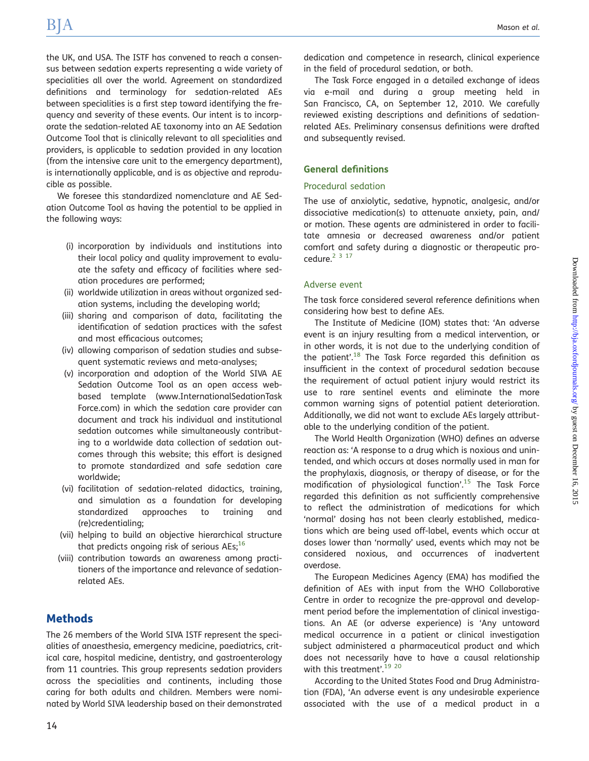the UK, and USA. The ISTF has convened to reach a consensus between sedation experts representing a wide variety of specialities all over the world. Agreement on standardized definitions and terminology for sedation-related AEs between specialities is a first step toward identifying the frequency and severity of these events. Our intent is to incorporate the sedation-related AE taxonomy into an AE Sedation Outcome Tool that is clinically relevant to all specialities and providers, is applicable to sedation provided in any location (from the intensive care unit to the emergency department), is internationally applicable, and is as objective and reproducible as possible.

We foresee this standardized nomenclature and AE Sedation Outcome Tool as having the potential to be applied in the following ways:

- (i) incorporation by individuals and institutions into their local policy and quality improvement to evaluate the safety and efficacy of facilities where sedation procedures are performed;
- (ii) worldwide utilization in areas without organized sedation systems, including the developing world;
- (iii) sharing and comparison of data, facilitating the identification of sedation practices with the safest and most efficacious outcomes;
- (iv) allowing comparison of sedation studies and subsequent systematic reviews and meta-analyses;
- (v) incorporation and adoption of the World SIVA AE Sedation Outcome Tool as an open access webbased template ([www.InternationalSedationTask](www.InternationalSedationTaskForce.com) [Force.com](www.InternationalSedationTaskForce.com)) in which the sedation care provider can document and track his individual and institutional sedation outcomes while simultaneously contributing to a worldwide data collection of sedation outcomes through this website; this effort is designed to promote standardized and safe sedation care worldwide;
- (vi) facilitation of sedation-related didactics, training, and simulation as a foundation for developing standardized approaches to training and (re)credentialing;
- (vii) helping to build an objective hierarchical structure that predicts ongoing risk of serious  $AEs$ ;<sup>[16](#page-6-0)</sup>
- (viii) contribution towards an awareness among practitioners of the importance and relevance of sedationrelated AEs.

# **Methods**

The 26 members of the World SIVA ISTF represent the specialities of anaesthesia, emergency medicine, paediatrics, critical care, hospital medicine, dentistry, and gastroenterology from 11 countries. This group represents sedation providers across the specialities and continents, including those caring for both adults and children. Members were nominated by World SIVA leadership based on their demonstrated dedication and competence in research, clinical experience in the field of procedural sedation, or both.

The Task Force engaged in a detailed exchange of ideas via e-mail and during a group meeting held in San Francisco, CA, on September 12, 2010. We carefully reviewed existing descriptions and definitions of sedationrelated AEs. Preliminary consensus definitions were drafted and subsequently revised.

#### General definitions

#### Procedural sedation

The use of anxiolytic, sedative, hypnotic, analgesic, and/or dissociative medication(s) to attenuate anxiety, pain, and/ or motion. These agents are administered in order to facilitate amnesia or decreased awareness and/or patient comfort and safety during a diagnostic or therapeutic procedure. $2^{3}$  17

#### Adverse event

The task force considered several reference definitions when considering how best to define AEs.

The Institute of Medicine (IOM) states that: 'An adverse event is an injury resulting from a medical intervention, or in other words, it is not due to the underlying condition of the patient'.<sup>[18](#page-6-0)</sup> The Task Force regarded this definition as insufficient in the context of procedural sedation because the requirement of actual patient injury would restrict its use to rare sentinel events and eliminate the more common warning signs of potential patient deterioration. Additionally, we did not want to exclude AEs largely attributable to the underlying condition of the patient.

The World Health Organization (WHO) defines an adverse reaction as: 'A response to a drug which is noxious and unintended, and which occurs at doses normally used in man for the prophylaxis, diagnosis, or therapy of disease, or for the modification of physiological function'.[15](#page-6-0) The Task Force regarded this definition as not sufficiently comprehensive to reflect the administration of medications for which 'normal' dosing has not been clearly established, medications which are being used off-label, events which occur at doses lower than 'normally' used, events which may not be considered noxious, and occurrences of inadvertent overdose.

The European Medicines Agency (EMA) has modified the definition of AEs with input from the WHO Collaborative Centre in order to recognize the pre-approval and development period before the implementation of clinical investigations. An AE (or adverse experience) is 'Any untoward medical occurrence in a patient or clinical investigation subject administered a pharmaceutical product and which does not necessarily have to have a causal relationship with this treatment'.<sup>[19 20](#page-6-0)</sup>

According to the United States Food and Drug Administration (FDA), 'An adverse event is any undesirable experience associated with the use of a medical product in a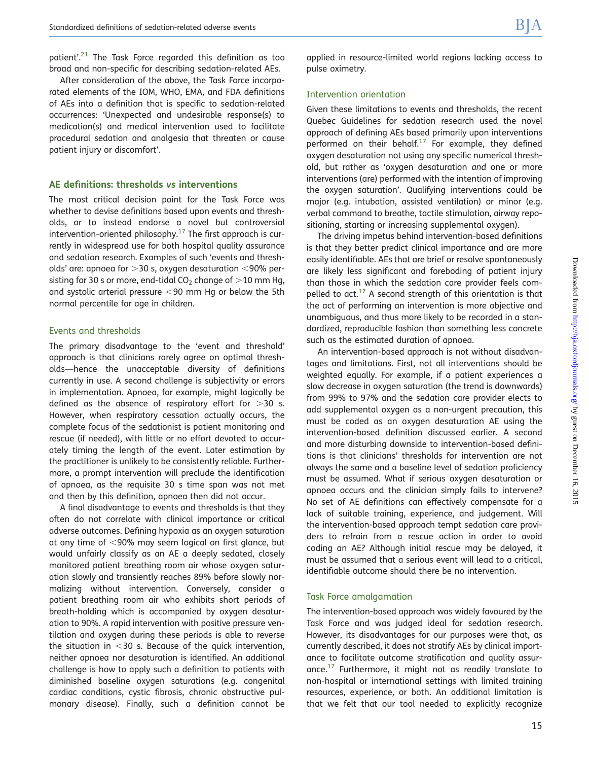After consideration of the above, the Task Force incorporated elements of the IOM, WHO, EMA, and FDA definitions of AEs into a definition that is specific to sedation-related occurrences: 'Unexpected and undesirable response(s) to medication(s) and medical intervention used to facilitate procedural sedation and analgesia that threaten or cause patient injury or discomfort'.

#### AE definitions: thresholds vs interventions

The most critical decision point for the Task Force was whether to devise definitions based upon events and thresholds, or to instead endorse a novel but controversial intervention-oriented philosophy. $17$  The first approach is currently in widespread use for both hospital quality assurance and sedation research. Examples of such 'events and thresholds' are: apnoea for  $>$ 30 s, oxygen desaturation <90% persisting for 30 s or more, end-tidal  $CO<sub>2</sub>$  change of  $>10$  mm Hg, and systolic arterial pressure  $<$  90 mm Hg or below the 5th normal percentile for age in children.

#### Events and thresholds

The primary disadvantage to the 'event and threshold' approach is that clinicians rarely agree on optimal thresholds—hence the unacceptable diversity of definitions currently in use. A second challenge is subjectivity or errors in implementation. Apnoea, for example, might logically be defined as the absence of respiratory effort for  $>$ 30 s. However, when respiratory cessation actually occurs, the complete focus of the sedationist is patient monitoring and rescue (if needed), with little or no effort devoted to accurately timing the length of the event. Later estimation by the practitioner is unlikely to be consistently reliable. Furthermore, a prompt intervention will preclude the identification of apnoea, as the requisite 30 s time span was not met and then by this definition, apnoea then did not occur.

A final disadvantage to events and thresholds is that they often do not correlate with clinical importance or critical adverse outcomes. Defining hypoxia as an oxygen saturation at any time of  $<$ 90% may seem logical on first glance, but would unfairly classify as an AE a deeply sedated, closely monitored patient breathing room air whose oxygen saturation slowly and transiently reaches 89% before slowly normalizing without intervention. Conversely, consider a patient breathing room air who exhibits short periods of breath-holding which is accompanied by oxygen desaturation to 90%. A rapid intervention with positive pressure ventilation and oxygen during these periods is able to reverse the situation in  $<$ 30 s. Because of the quick intervention, neither apnoea nor desaturation is identified. An additional challenge is how to apply such a definition to patients with diminished baseline oxygen saturations (e.g. congenital cardiac conditions, cystic fibrosis, chronic obstructive pulmonary disease). Finally, such a definition cannot be

applied in resource-limited world regions lacking access to pulse oximetry.

#### Intervention orientation

Given these limitations to events and thresholds, the recent Quebec Guidelines for sedation research used the novel approach of defining AEs based primarily upon interventions performed on their behalf.<sup>[17](#page-6-0)</sup> For example, they defined oxygen desaturation not using any specific numerical threshold, but rather as 'oxygen desaturation and one or more interventions (are) performed with the intention of improving the oxygen saturation'. Qualifying interventions could be major (e.g. intubation, assisted ventilation) or minor (e.g. verbal command to breathe, tactile stimulation, airway repositioning, starting or increasing supplemental oxygen).

The driving impetus behind intervention-based definitions is that they better predict clinical importance and are more easily identifiable. AEs that are brief or resolve spontaneously are likely less significant and foreboding of patient injury than those in which the sedation care provider feels compelled to  $act.<sup>17</sup>$  $act.<sup>17</sup>$  $act.<sup>17</sup>$  A second strength of this orientation is that the act of performing an intervention is more objective and unambiguous, and thus more likely to be recorded in a standardized, reproducible fashion than something less concrete such as the estimated duration of apnoea.

An intervention-based approach is not without disadvantages and limitations. First, not all interventions should be weighted equally. For example, if a patient experiences a slow decrease in oxygen saturation (the trend is downwards) from 99% to 97% and the sedation care provider elects to add supplemental oxygen as a non-urgent precaution, this must be coded as an oxygen desaturation AE using the intervention-based definition discussed earlier. A second and more disturbing downside to intervention-based definitions is that clinicians' thresholds for intervention are not always the same and a baseline level of sedation proficiency must be assumed. What if serious oxygen desaturation or apnoea occurs and the clinician simply fails to intervene? No set of AE definitions can effectively compensate for a lack of suitable training, experience, and judgement. Will the intervention-based approach tempt sedation care providers to refrain from a rescue action in order to avoid coding an AE? Although initial rescue may be delayed, it must be assumed that a serious event will lead to a critical, identifiable outcome should there be no intervention.

#### Task Force amalgamation

The intervention-based approach was widely favoured by the Task Force and was judged ideal for sedation research. However, its disadvantages for our purposes were that, as currently described, it does not stratify AEs by clinical importance to facilitate outcome stratification and quality assurance. $17$  Furthermore, it might not as readily translate to non-hospital or international settings with limited training resources, experience, or both. An additional limitation is that we felt that our tool needed to explicitly recognize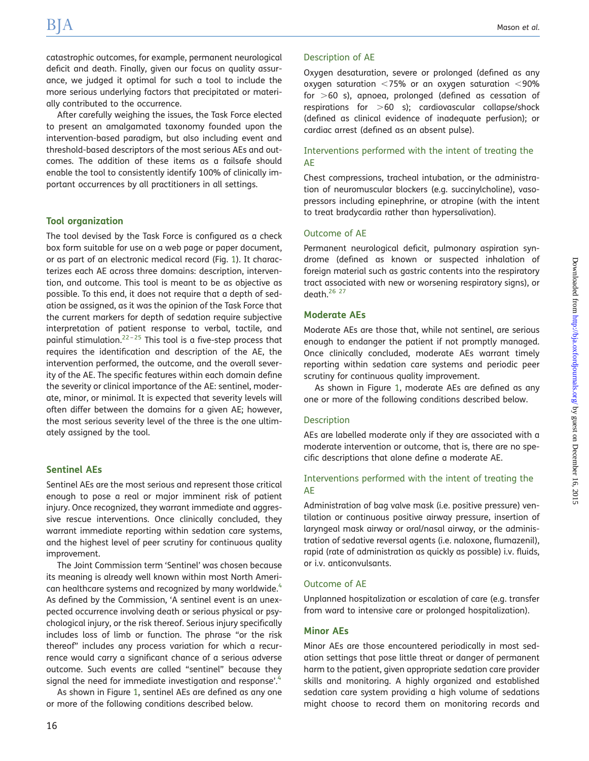catastrophic outcomes, for example, permanent neurological deficit and death. Finally, given our focus on quality assurance, we judged it optimal for such a tool to include the more serious underlying factors that precipitated or materially contributed to the occurrence.

After carefully weighing the issues, the Task Force elected to present an amalgamated taxonomy founded upon the intervention-based paradigm, but also including event and threshold-based descriptors of the most serious AEs and outcomes. The addition of these items as a failsafe should enable the tool to consistently identify 100% of clinically important occurrences by all practitioners in all settings.

# Tool organization

The tool devised by the Task Force is configured as a check box form suitable for use on a web page or paper document, or as part of an electronic medical record (Fig. [1](#page-4-0)). It characterizes each AE across three domains: description, intervention, and outcome. This tool is meant to be as objective as possible. To this end, it does not require that a depth of sedation be assigned, as it was the opinion of the Task Force that the current markers for depth of sedation require subjective interpretation of patient response to verbal, tactile, and painful stimulation. $2^{22-25}$  $2^{22-25}$  $2^{22-25}$  $2^{22-25}$  $2^{22-25}$  This tool is a five-step process that requires the identification and description of the AE, the intervention performed, the outcome, and the overall severity of the AE. The specific features within each domain define the severity or clinical importance of the AE: sentinel, moderate, minor, or minimal. It is expected that severity levels will often differ between the domains for a given AE; however, the most serious severity level of the three is the one ultimately assigned by the tool.

# Sentinel AEs

Sentinel AEs are the most serious and represent those critical enough to pose a real or major imminent risk of patient injury. Once recognized, they warrant immediate and aggressive rescue interventions. Once clinically concluded, they warrant immediate reporting within sedation care systems, and the highest level of peer scrutiny for continuous quality improvement.

The Joint Commission term 'Sentinel' was chosen because its meaning is already well known within most North Ameri-can healthcare systems and recognized by many worldwide.<sup>[4](#page-6-0)</sup> As defined by the Commission, 'A sentinel event is an unexpected occurrence involving death or serious physical or psychological injury, or the risk thereof. Serious injury specifically includes loss of limb or function. The phrase "or the risk thereof" includes any process variation for which a recurrence would carry a significant chance of a serious adverse outcome. Such events are called "sentinel" because they signal the need for immediate investigation and response'.<sup>[4](#page-6-0)</sup>

As shown in Figure [1,](#page-4-0) sentinel AEs are defined as any one or more of the following conditions described below.

# Description of AE

Oxygen desaturation, severe or prolonged (defined as any oxygen saturation  $<$ 75% or an oxygen saturation  $<$ 90% for  $>60$  s), apnoea, prolonged (defined as cessation of respirations for  $>60$  s); cardiovascular collapse/shock (defined as clinical evidence of inadequate perfusion); or cardiac arrest (defined as an absent pulse).

## Interventions performed with the intent of treating the AE

Chest compressions, tracheal intubation, or the administration of neuromuscular blockers (e.g. succinylcholine), vasopressors including epinephrine, or atropine (with the intent to treat bradycardia rather than hypersalivation).

# Outcome of AE

Permanent neurological deficit, pulmonary aspiration syndrome (defined as known or suspected inhalation of foreign material such as gastric contents into the respiratory tract associated with new or worsening respiratory signs), or death. $26$  27

# Moderate AEs

Moderate AEs are those that, while not sentinel, are serious enough to endanger the patient if not promptly managed. Once clinically concluded, moderate AEs warrant timely reporting within sedation care systems and periodic peer scrutiny for continuous quality improvement.

As shown in Figure [1,](#page-4-0) moderate AEs are defined as any one or more of the following conditions described below.

#### **Description**

AEs are labelled moderate only if they are associated with a moderate intervention or outcome, that is, there are no specific descriptions that alone define a moderate AE.

# Interventions performed with the intent of treating the AE

Administration of bag valve mask (i.e. positive pressure) ventilation or continuous positive airway pressure, insertion of laryngeal mask airway or oral/nasal airway, or the administration of sedative reversal agents (i.e. naloxone, flumazenil), rapid (rate of administration as quickly as possible) i.v. fluids, or i.v. anticonvulsants.

# Outcome of AE

Unplanned hospitalization or escalation of care (e.g. transfer from ward to intensive care or prolonged hospitalization).

# Minor AEs

Minor AEs are those encountered periodically in most sedation settings that pose little threat or danger of permanent harm to the patient, given appropriate sedation care provider skills and monitoring. A highly organized and established sedation care system providing a high volume of sedations might choose to record them on monitoring records and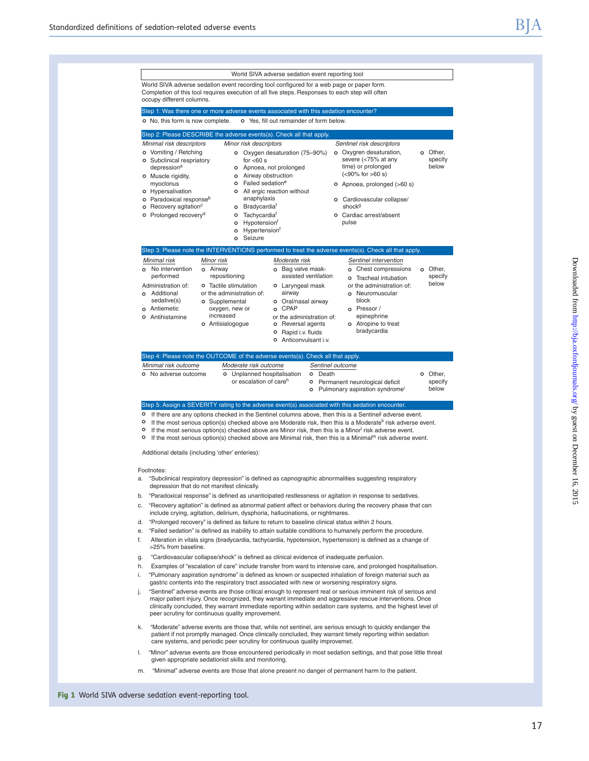<span id="page-4-0"></span>

|                                                               | World SIVA adverse sedation event recording tool configured for a web page or paper form.<br>Completion of this tool requires execution of all five steps. Responses to each step will often                                                                                                                                       |                                                                                                                                                                                                                                                                                                                                                                                                        |                                                                                                                                                                  |                                                                                                                                                                                                                                                                                                                                                                                                                                       |                                                              |
|---------------------------------------------------------------|------------------------------------------------------------------------------------------------------------------------------------------------------------------------------------------------------------------------------------------------------------------------------------------------------------------------------------|--------------------------------------------------------------------------------------------------------------------------------------------------------------------------------------------------------------------------------------------------------------------------------------------------------------------------------------------------------------------------------------------------------|------------------------------------------------------------------------------------------------------------------------------------------------------------------|---------------------------------------------------------------------------------------------------------------------------------------------------------------------------------------------------------------------------------------------------------------------------------------------------------------------------------------------------------------------------------------------------------------------------------------|--------------------------------------------------------------|
|                                                               | occupy different columns.                                                                                                                                                                                                                                                                                                          |                                                                                                                                                                                                                                                                                                                                                                                                        |                                                                                                                                                                  |                                                                                                                                                                                                                                                                                                                                                                                                                                       |                                                              |
|                                                               | Step 1: Was there one or more adverse events associated with this sedation encounter?                                                                                                                                                                                                                                              |                                                                                                                                                                                                                                                                                                                                                                                                        |                                                                                                                                                                  |                                                                                                                                                                                                                                                                                                                                                                                                                                       |                                                              |
|                                                               | o No, this form is now complete.                                                                                                                                                                                                                                                                                                   |                                                                                                                                                                                                                                                                                                                                                                                                        | o Yes, fill out remainder of form below.                                                                                                                         |                                                                                                                                                                                                                                                                                                                                                                                                                                       |                                                              |
|                                                               | Step 2: Please DESCRIBE the adverse events(s). Check all that apply.<br>Minimal risk descriptors                                                                                                                                                                                                                                   | Minor risk descriptors                                                                                                                                                                                                                                                                                                                                                                                 |                                                                                                                                                                  | Sentinel risk descriptors                                                                                                                                                                                                                                                                                                                                                                                                             |                                                              |
|                                                               | o Vomiting / Retching<br>o Subclinical respriatory<br>depression <sup>a</sup><br>O Muscle rigidity,<br>myoclonus<br>o Hypersalivation<br>o Paradoxical response <sup>b</sup><br>o Recovery agitation <sup>c</sup><br>O Prolonged recovery <sup>d</sup><br>Minimal risk<br>Minor risk<br>o No intervention<br>o Airway<br>performed | O Oxygen desaturation (75-90%)<br>for $< 60$ s<br>o Apnoea, not prolonged<br>o Airway obstruction<br><b>o</b> Failed sedation <sup>e</sup><br>O All ergic reaction without<br>anaphylaxis<br>o Bradycardia <sup>f</sup><br><b>o</b> Tachycardia <sup>t</sup><br>Hypotension <sup>f</sup><br>o<br>Hypertension <sup>†</sup><br>$\circ$<br>Seizure<br>о<br>repositioning<br><b>O</b> Tactile stimulation | Moderate risk<br>o Bag valve mask-<br>assisted ventilation                                                                                                       | o Oxygren desaturation,<br>severe (<75% at any<br>time) or prolonged<br>$(<,90\%$ for $>60$ s)<br>O Apnoea, prolonged (>60 s)<br>o Cardiovascular collapse/<br>shock <sup>g</sup><br>o Cardiac arrest/absent<br>pulse<br>Step 3: Please note the INTERVENTIONS performed to treat the adverse events(s). Check all that apply.<br>Sentinel intervention<br>o Chest compressions<br>O Tracheal intubation<br>or the administration of: | o Other,<br>specify<br>below<br>o Other,<br>specify<br>below |
|                                                               | Administration of:<br>o Additional<br>sedative(s)<br>o Antiemetic<br>O Antihistamine                                                                                                                                                                                                                                               | or the administration of:<br>o Supplemental<br>oxygen, new or<br>increased<br>o Antisialogogue<br>$\circ$<br>о                                                                                                                                                                                                                                                                                         | <b>O</b> Laryngeal mask<br>airway<br>o Oral/nasal airway<br>o CPAP<br>or the administration of:<br>o Reversal agents<br>Rapid i.v. fluids<br>Anticonvulsant i.v. | o Neuromuscular<br>block<br>o Pressor /<br>epinephrine<br>o Atropine to treat<br>bradycardia                                                                                                                                                                                                                                                                                                                                          |                                                              |
|                                                               | Step 4: Please note the OUTCOME of the adverse events(s). Check all that apply.                                                                                                                                                                                                                                                    |                                                                                                                                                                                                                                                                                                                                                                                                        |                                                                                                                                                                  |                                                                                                                                                                                                                                                                                                                                                                                                                                       |                                                              |
|                                                               | Minimal risk outcome                                                                                                                                                                                                                                                                                                               | Moderate risk outcome                                                                                                                                                                                                                                                                                                                                                                                  |                                                                                                                                                                  |                                                                                                                                                                                                                                                                                                                                                                                                                                       |                                                              |
|                                                               | O No adverse outcome                                                                                                                                                                                                                                                                                                               | O Unplanned hospitalisation<br>or escalation of care <sup>h</sup>                                                                                                                                                                                                                                                                                                                                      | $\circ$<br>Death<br>$\circ$                                                                                                                                      | Sentinel outcome<br>Permanent neurological deficit<br>o Pulmonary aspiration syndrome <sup>i</sup>                                                                                                                                                                                                                                                                                                                                    | O Other,<br>specify<br>below                                 |
|                                                               |                                                                                                                                                                                                                                                                                                                                    |                                                                                                                                                                                                                                                                                                                                                                                                        |                                                                                                                                                                  | Step 5: Assign a SEVERITY rating to the adverse event(s) associated with this sedation encounter.                                                                                                                                                                                                                                                                                                                                     |                                                              |
| $\circ$<br>o<br>o                                             |                                                                                                                                                                                                                                                                                                                                    |                                                                                                                                                                                                                                                                                                                                                                                                        |                                                                                                                                                                  | If there are any options checked in the Sentinel columns above, then this is a Sentinel <sup>j</sup> adverse event.<br>If the most serious option(s) checked above are Moderate risk, then this is a Moderate <sup>k</sup> risk adverse event.<br>If the most serious option(s) checked above are Minor risk, then this is a Minor risk adverse event.                                                                                |                                                              |
|                                                               |                                                                                                                                                                                                                                                                                                                                    |                                                                                                                                                                                                                                                                                                                                                                                                        |                                                                                                                                                                  | If the most serious option(s) checked above are Minimal risk, then this is a Minimal <sup>m</sup> risk adverse event.                                                                                                                                                                                                                                                                                                                 |                                                              |
|                                                               | Additional details (including 'other' enteries):                                                                                                                                                                                                                                                                                   |                                                                                                                                                                                                                                                                                                                                                                                                        |                                                                                                                                                                  |                                                                                                                                                                                                                                                                                                                                                                                                                                       |                                                              |
|                                                               | Footnotes:<br>depression that do not manifest clinically.                                                                                                                                                                                                                                                                          |                                                                                                                                                                                                                                                                                                                                                                                                        |                                                                                                                                                                  | "Subclinical respiratory depression" is defined as capnographic abnormalities suggesting respiratory                                                                                                                                                                                                                                                                                                                                  |                                                              |
|                                                               |                                                                                                                                                                                                                                                                                                                                    |                                                                                                                                                                                                                                                                                                                                                                                                        |                                                                                                                                                                  | "Paradoxical response" is defined as unanticipated restlessness or agitation in response to sedatives.                                                                                                                                                                                                                                                                                                                                |                                                              |
|                                                               | include crying, agitation, delirium, dysphoria, hallucinations, or nightmares.                                                                                                                                                                                                                                                     |                                                                                                                                                                                                                                                                                                                                                                                                        |                                                                                                                                                                  | "Recovery agitation" is defined as abnormal patient affect or behaviors during the recovery phase that can                                                                                                                                                                                                                                                                                                                            |                                                              |
|                                                               | "Prolonged recovery" is defined as failure to return to baseline clinical status within 2 hours.                                                                                                                                                                                                                                   |                                                                                                                                                                                                                                                                                                                                                                                                        |                                                                                                                                                                  |                                                                                                                                                                                                                                                                                                                                                                                                                                       |                                                              |
|                                                               | >25% from baseline.                                                                                                                                                                                                                                                                                                                |                                                                                                                                                                                                                                                                                                                                                                                                        |                                                                                                                                                                  | "Failed sedation" is defined as inability to attain suitable conditions to humanely perform the procedure.<br>Alteration in vitals signs (bradycardia, tachycardia, hypotension, hypertension) is defined as a change of                                                                                                                                                                                                              |                                                              |
|                                                               | "Cardiovascular collapse/shock" is defined as clinical evidence of inadequate perfusion.                                                                                                                                                                                                                                           |                                                                                                                                                                                                                                                                                                                                                                                                        |                                                                                                                                                                  |                                                                                                                                                                                                                                                                                                                                                                                                                                       |                                                              |
|                                                               |                                                                                                                                                                                                                                                                                                                                    |                                                                                                                                                                                                                                                                                                                                                                                                        |                                                                                                                                                                  | Examples of "escalation of care" include transfer from ward to intensive care, and prolonged hospitalisation.<br>"Pulmonary aspiration syndrome" is defined as known or suspected inhalation of foreign material such as                                                                                                                                                                                                              |                                                              |
| o<br>a.<br>b.<br>c.<br>d.<br>е.<br>f.<br>g.<br>h.<br>i.<br>j. | gastric contents into the respiratory tract associated with new or worsening respiratory signs.<br>peer scrutiny for continuous quality improvement.                                                                                                                                                                               |                                                                                                                                                                                                                                                                                                                                                                                                        |                                                                                                                                                                  | "Sentinel" adverse events are those critical enough to represent real or serious imminent risk of serious and<br>major patient injury. Once recognized, they warrant immediate and aggressive rescue interventions. Once<br>clinically concluded, they warrant immediate reporting within sedation care systems, and the highest level of                                                                                             |                                                              |

m. "Minimal" adverse events are those that alone present no danger of permanent harm to the patient.

Fig 1 World SIVA adverse sedation event-reporting tool.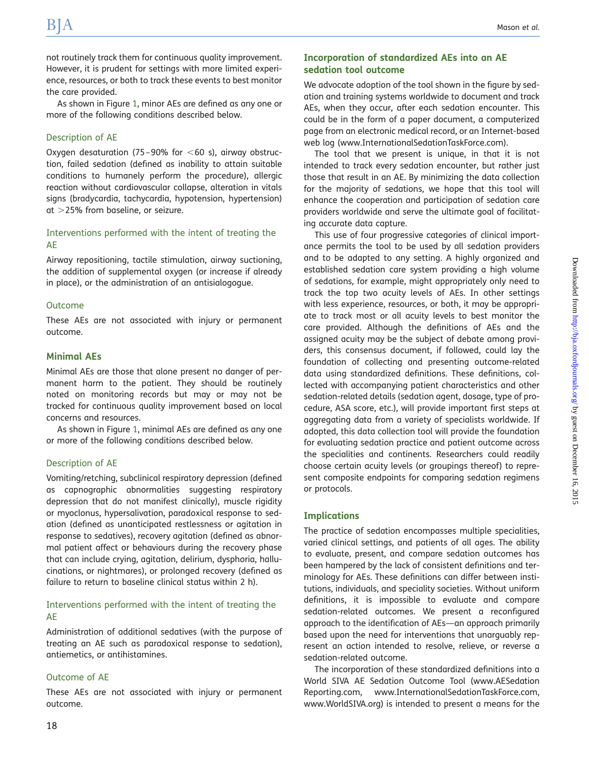not routinely track them for continuous quality improvement. However, it is prudent for settings with more limited experience, resources, or both to track these events to best monitor the care provided.

As shown in Figure [1,](#page-4-0) minor AEs are defined as any one or more of the following conditions described below.

#### Description of AE

Oxygen desaturation (75-90% for  $<$  60 s), airway obstruction, failed sedation (defined as inability to attain suitable conditions to humanely perform the procedure), allergic reaction without cardiovascular collapse, alteration in vitals signs (bradycardia, tachycardia, hypotension, hypertension) at  $>$  25% from baseline, or seizure.

#### Interventions performed with the intent of treating the AE

Airway repositioning, tactile stimulation, airway suctioning, the addition of supplemental oxygen (or increase if already in place), or the administration of an antisialogogue.

#### **Outcome**

These AEs are not associated with injury or permanent outcome.

## Minimal AEs

Minimal AEs are those that alone present no danger of permanent harm to the patient. They should be routinely noted on monitoring records but may or may not be tracked for continuous quality improvement based on local concerns and resources.

As shown in Figure [1](#page-4-0), minimal AEs are defined as any one or more of the following conditions described below.

#### Description of AE

Vomiting/retching, subclinical respiratory depression (defined as capnographic abnormalities suggesting respiratory depression that do not manifest clinically), muscle rigidity or myoclonus, hypersalivation, paradoxical response to sedation (defined as unanticipated restlessness or agitation in response to sedatives), recovery agitation (defined as abnormal patient affect or behaviours during the recovery phase that can include crying, agitation, delirium, dysphoria, hallucinations, or nightmares), or prolonged recovery (defined as failure to return to baseline clinical status within 2 h).

#### Interventions performed with the intent of treating the AE

Administration of additional sedatives (with the purpose of treating an AE such as paradoxical response to sedation), antiemetics, or antihistamines.

#### Outcome of AE

These AEs are not associated with injury or permanent outcome.

## Incorporation of standardized AEs into an AE sedation tool outcome

We advocate adoption of the tool shown in the figure by sedation and training systems worldwide to document and track AEs, when they occur, after each sedation encounter. This could be in the form of a paper document, a computerized page from an electronic medical record, or an Internet-based web log ([www.InternationalSedationTaskForce.com\)](www.InternationalSedationTaskForce.com).

The tool that we present is unique, in that it is not intended to track every sedation encounter, but rather just those that result in an AE. By minimizing the data collection for the majority of sedations, we hope that this tool will enhance the cooperation and participation of sedation care providers worldwide and serve the ultimate goal of facilitating accurate data capture.

This use of four progressive categories of clinical importance permits the tool to be used by all sedation providers and to be adapted to any setting. A highly organized and established sedation care system providing a high volume of sedations, for example, might appropriately only need to track the top two acuity levels of AEs. In other settings with less experience, resources, or both, it may be appropriate to track most or all acuity levels to best monitor the care provided. Although the definitions of AEs and the assigned acuity may be the subject of debate among providers, this consensus document, if followed, could lay the foundation of collecting and presenting outcome-related data using standardized definitions. These definitions, collected with accompanying patient characteristics and other sedation-related details (sedation agent, dosage, type of procedure, ASA score, etc.), will provide important first steps at aggregating data from a variety of specialists worldwide. If adopted, this data collection tool will provide the foundation for evaluating sedation practice and patient outcome across the specialities and continents. Researchers could readily choose certain acuity levels (or groupings thereof) to represent composite endpoints for comparing sedation regimens or protocols.

#### **Implications**

The practice of sedation encompasses multiple specialities, varied clinical settings, and patients of all ages. The ability to evaluate, present, and compare sedation outcomes has been hampered by the lack of consistent definitions and terminology for AEs. These definitions can differ between institutions, individuals, and speciality societies. Without uniform definitions, it is impossible to evaluate and compare sedation-related outcomes. We present a reconfigured approach to the identification of AEs—an approach primarily based upon the need for interventions that unarguably represent an action intended to resolve, relieve, or reverse a sedation-related outcome.

The incorporation of these standardized definitions into a World SIVA AE Sedation Outcome Tool [\(www.AESedation](www.AESedationReporting.com) [Reporting.com,](www.AESedationReporting.com)<www.InternationalSedationTaskForce.com>, <www.WorldSIVA.org>) is intended to present a means for the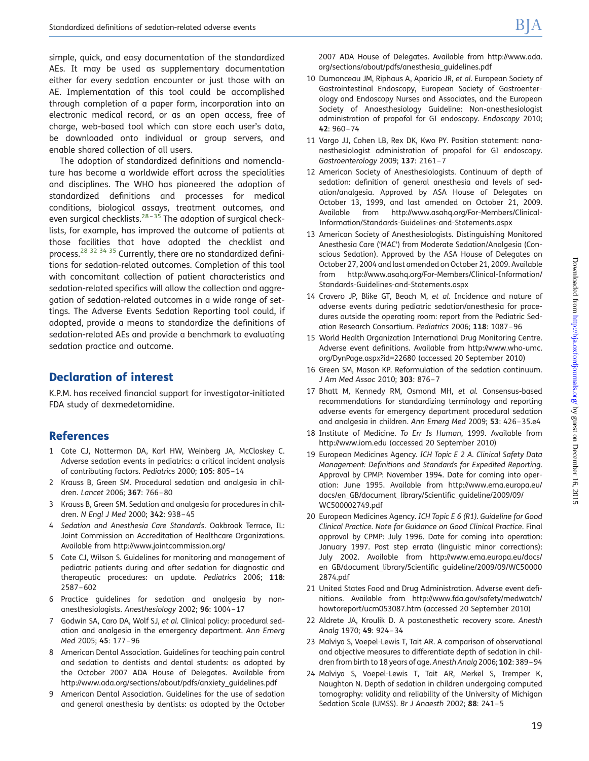<span id="page-6-0"></span>simple, quick, and easy documentation of the standardized AEs. It may be used as supplementary documentation either for every sedation encounter or just those with an AE. Implementation of this tool could be accomplished through completion of a paper form, incorporation into an electronic medical record, or as an open access, free of charge, web-based tool which can store each user's data,

enable shared collection of all users. The adoption of standardized definitions and nomenclature has become a worldwide effort across the specialities and disciplines. The WHO has pioneered the adoption of standardized definitions and processes for medical conditions, biological assays, treatment outcomes, and even surgical checklists. $28-35$  $28-35$  $28-35$  The adoption of surgical checklists, for example, has improved the outcome of patients at those facilities that have adopted the checklist and process.[28 32 34 35](#page-7-0) Currently, there are no standardized definitions for sedation-related outcomes. Completion of this tool with concomitant collection of patient characteristics and sedation-related specifics will allow the collection and aggregation of sedation-related outcomes in a wide range of settings. The Adverse Events Sedation Reporting tool could, if adopted, provide a means to standardize the definitions of sedation-related AEs and provide a benchmark to evaluating sedation practice and outcome.

be downloaded onto individual or group servers, and

# Declaration of interest

K.P.M. has received financial support for investigator-initiated FDA study of dexmedetomidine.

# References

- 1 Cote CJ, Notterman DA, Karl HW, Weinberg JA, McCloskey C. Adverse sedation events in pediatrics: a critical incident analysis of contributing factors. Pediatrics 2000; 105: 805–14
- 2 Krauss B, Green SM. Procedural sedation and analgesia in children. Lancet 2006; 367: 766–80
- 3 Krauss B, Green SM. Sedation and analgesia for procedures in children. N Engl J Med 2000; 342: 938–45
- 4 Sedation and Anesthesia Care Standards. Oakbrook Terrace, IL: Joint Commission on Accreditation of Healthcare Organizations. Available from<http://www.jointcommission.org/>
- 5 Cote CJ, Wilson S. Guidelines for monitoring and management of pediatric patients during and after sedation for diagnostic and therapeutic procedures: an update. Pediatrics 2006; 118: 2587–602
- 6 Practice guidelines for sedation and analgesia by nonanesthesiologists. Anesthesiology 2002; 96: 1004–17
- 7 Godwin SA, Caro DA, Wolf SJ, et al. Clinical policy: procedural sedation and analgesia in the emergency department. Ann Emerg Med 2005; 45: 177–96
- 8 American Dental Association. Guidelines for teaching pain control and sedation to dentists and dental students: as adopted by the October 2007 ADA House of Delegates. Available from [http://www.ada.org/sections/about/pdfs/anxiety\\_guidelines.pdf](http://www.ada.org/sections/about/pdfs/anxiety_guidelines.pdf)
- 9 American Dental Association. Guidelines for the use of sedation and general anesthesia by dentists: as adopted by the October

2007 ADA House of Delegates. Available from [http://www.ada.](http://www.ada.org/sections/about/pdfs/anesthesia_guidelines.pdf) [org/sections/about/pdfs/anesthesia\\_guidelines.pdf](http://www.ada.org/sections/about/pdfs/anesthesia_guidelines.pdf)

- 10 Dumonceau JM, Riphaus A, Aparicio JR, et al. European Society of Gastrointestinal Endoscopy, European Society of Gastroenterology and Endoscopy Nurses and Associates, and the European Society of Anaesthesiology Guideline: Non-anesthesiologist administration of propofol for GI endoscopy. Endoscopy 2010; 42: 960–74
- 11 Vargo JJ, Cohen LB, Rex DK, Kwo PY. Position statement: nonanesthesiologist administration of propofol for GI endoscopy. Gastroenterology 2009; 137: 2161–7
- 12 American Society of Anesthesiologists. Continuum of depth of sedation: definition of general anesthesia and levels of sedation/analgesia. Approved by ASA House of Delegates on October 13, 1999, and last amended on October 21, 2009. Available from [http://www.asahq.org/For-Members/Clinical-](http://www.asahq.org/For-Members/Clinical-Information/Standards-Guidelines-and-Statements.aspx)[Information/Standards-Guidelines-and-Statements.aspx](http://www.asahq.org/For-Members/Clinical-Information/Standards-Guidelines-and-Statements.aspx)
- 13 American Society of Anesthesiologists. Distinguishing Monitored Anesthesia Care ('MAC') from Moderate Sedation/Analgesia (Conscious Sedation). Approved by the ASA House of Delegates on October 27, 2004 and last amended on October 21, 2009. Available from [http://www.asahq.org/For-Members/Clinical-Information/](http://www.asahq.org/For-Members/Clinical-Information/Standards-Guidelines-and-Statements.aspx) [Standards-Guidelines-and-Statements.aspx](http://www.asahq.org/For-Members/Clinical-Information/Standards-Guidelines-and-Statements.aspx)
- 14 Cravero JP, Blike GT, Beach M, et al. Incidence and nature of adverse events during pediatric sedation/anesthesia for procedures outside the operating room: report from the Pediatric Sedation Research Consortium. Pediatrics 2006; 118: 1087–96
- 15 World Health Organization International Drug Monitoring Centre. Adverse event definitions. Available from [http://www.who-umc.](http://www.who-umc.org/DynPage.aspx?id=22680) [org/DynPage.aspx?id=22680](http://www.who-umc.org/DynPage.aspx?id=22680) (accessed 20 September 2010)
- 16 Green SM, Mason KP. Reformulation of the sedation continuum. J Am Med Assoc 2010; 303: 876–7
- 17 Bhatt M, Kennedy RM, Osmond MH, et al. Consensus-based recommendations for standardizing terminology and reporting adverse events for emergency department procedural sedation and analgesia in children. Ann Emerg Med 2009; 53: 426–35.e4
- 18 Institute of Medicine. To Err Is Human, 1999. Available from <http://www.iom.edu> (accessed 20 September 2010)
- 19 European Medicines Agency. ICH Topic E 2 A. Clinical Safety Data Management: Definitions and Standards for Expedited Reporting. Approval by CPMP: November 1994. Date for coming into operation: June 1995. Available from [http://www.ema.europa.eu/](http://www.ema.europa.eu/docs/en_GB/document_library/Scientific_guideline/2009/09/WC500002749.pdf) [docs/en\\_GB/document\\_library/Scientific\\_guideline/2009/09/](http://www.ema.europa.eu/docs/en_GB/document_library/Scientific_guideline/2009/09/WC500002749.pdf) [WC500002749.pdf](http://www.ema.europa.eu/docs/en_GB/document_library/Scientific_guideline/2009/09/WC500002749.pdf)
- 20 European Medicines Agency. ICH Topic E 6 (R1). Guideline for Good Clinical Practice. Note for Guidance on Good Clinical Practice. Final approval by CPMP: July 1996. Date for coming into operation: January 1997. Post step errata (linguistic minor corrections): July 2002. Available from [http://www.ema.europa.eu/docs/](http://www.ema.europa.eu/docs/en_GB/document_library/Scientific_guideline/2009/09/WC500002874.pdf) [en\\_GB/document\\_library/Scientific\\_guideline/2009/09/WC50000](http://www.ema.europa.eu/docs/en_GB/document_library/Scientific_guideline/2009/09/WC500002874.pdf) [2874.pdf](http://www.ema.europa.eu/docs/en_GB/document_library/Scientific_guideline/2009/09/WC500002874.pdf)
- 21 United States Food and Drug Administration. Adverse event definitions. Available from [http://www.fda.gov/safety/medwatch/](http://www.fda.gov/safety/medwatch/howtoreport/ucm053087.htm) [howtoreport/ucm053087.htm](http://www.fda.gov/safety/medwatch/howtoreport/ucm053087.htm) (accessed 20 September 2010)
- 22 Aldrete JA, Kroulik D. A postanesthetic recovery score. Anesth Analg 1970; 49: 924–34
- 23 Malviya S, Voepel-Lewis T, Tait AR. A comparison of observational and objective measures to differentiate depth of sedation in children from birth to 18 years of age. Anesth Analg 2006; 102: 389–94
- 24 Malviya S, Voepel-Lewis T, Tait AR, Merkel S, Tremper K, Naughton N. Depth of sedation in children undergoing computed tomography: validity and reliability of the University of Michigan Sedation Scale (UMSS). Br J Anaesth 2002; 88: 241–5